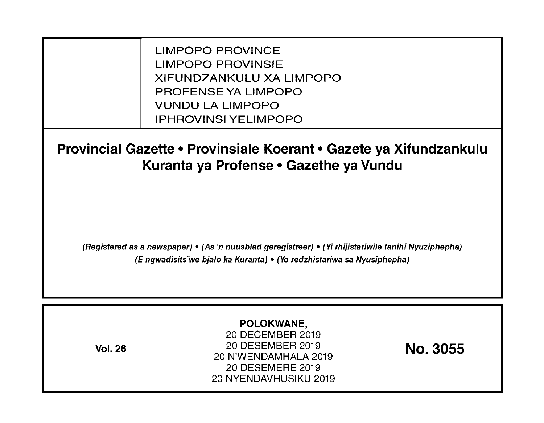LIMPOPO PROVINCE LIMPOPO PROVINSIE XIFUNDZANKULU XA LIMPOPO PROFENSE YA LIMPOPO VUNDU LA LIMPOPO IPHROVINSI YELIMPOPO

**Provincial Gazette • Provinsiale Koerant • Gazete ya Xifundzankulu Kuranta ya Profense • Gazethe ya Vundu** 

(Registered as a newspaper) • (As 'n nuusblad geregistreer) • (Yi rhijistariwile tanihi Nyuziphepha) (E ngwadisits we bjalo ka Kuranta) • (Yo redzhistariwa sa Nyusiphepha)

**Vol. 26** 

**POLOKWANE,**  20 DECEMBER 2019 20 DESEMBER 2019 20 N'WENDAMHALA 2019 20 DESEMERE 2019 20 NYENDAVHUSIKU 2019

No. 3055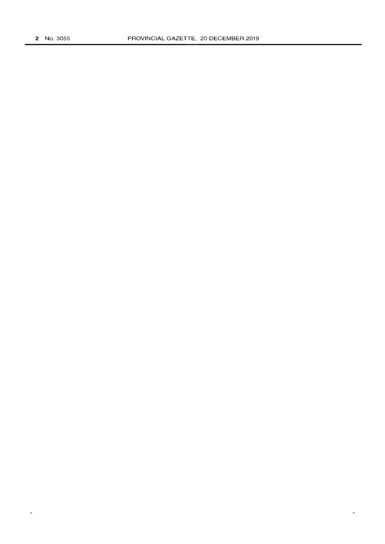$\overline{\phantom{a}}$ 

 $\overline{\phantom{a}}$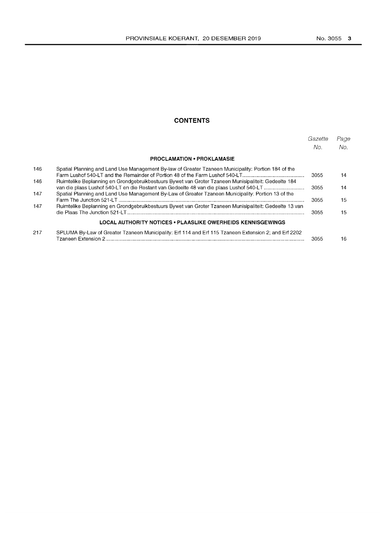# **CONTENTS**

|     |                                                                                                                                                                                               | Gazette<br>No. | Page<br>$N_{\Omega}$ |
|-----|-----------------------------------------------------------------------------------------------------------------------------------------------------------------------------------------------|----------------|----------------------|
|     | <b>PROCLAMATION • PROKLAMASIE</b>                                                                                                                                                             |                |                      |
| 146 | Spatial Planning and Land Use Management By-law of Greater Tzaneen Municipality: Portion 184 of the                                                                                           | 3055           | 14                   |
| 146 | Ruimtelike Beplanning en Grondgebruikbestuurs Bywet van Groter Tzaneen Munisipaliteit: Gedeelte 184<br>van die plaas Lushof 540-LT en die Restant van Gedeelte 48 van die plaas Lushof 540-LT | 3055           | 14                   |
| 147 | Spatial Planning and Land Use Management By-Law of Greater Tzaneen Municipality: Portion 13 of the                                                                                            | 3055           | 15                   |
| 147 | Ruimtelike Beplanning en Grondgebruikbestuurs Bywet van Groter Tzaneen Munisipaliteit: Gedeelte 13 van                                                                                        | 3055           | 15                   |
|     | LOCAL AUTHORITY NOTICES • PLAASLIKE OWERHEIDS KENNISGEWINGS                                                                                                                                   |                |                      |
| 217 | SPLUMA By-Law of Greater Tzaneen Municipality: Erf 114 and Erf 115 Tzaneen Extension 2; and Erf 2202                                                                                          | 3055           | 16                   |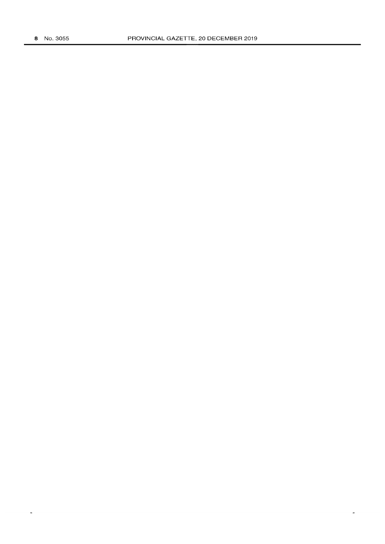$\Box$ 

 $\overline{\phantom{a}}$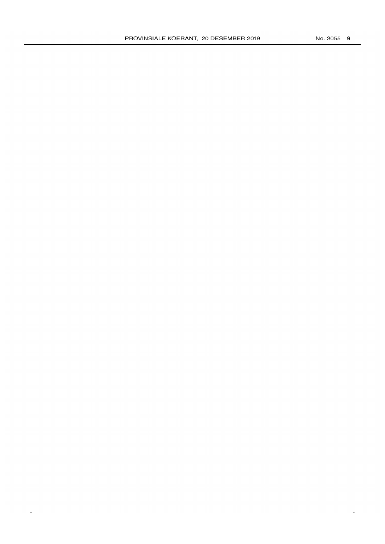$\bar{\mathbf{z}}$ 

 $\tilde{\phantom{a}}$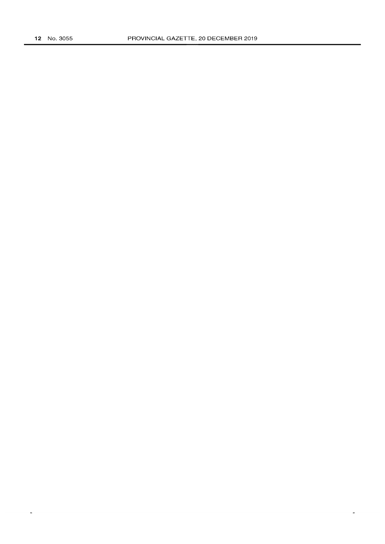$\hat{\mathcal{L}}$ 

 $\tilde{\phantom{a}}$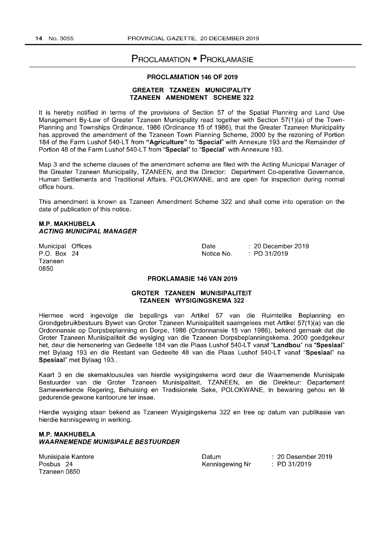# PROCLAMATION • PROKLAMASIE

#### PROCLAMATION 146 OF 2019

#### GREATER TZANEEN MUNICIPALITY TZANEEN AMENDMENT SCHEME322

It is hereby notified in terms of the provisions of Section 57 of the Spatial Planning and Land Use Management By-Law of Greater Tzaneen Municipality read together with Section 57(1)(a) of the Town-Planning and Townships Ordinance, 1986 (Ordinance 15 of 1986), that the Greater Tzaneen Municipality has approved the amendment of the Tzaneen Town Planning Scheme, 2000 by the rezoning of Portion 184 of the Farm Lushof 540-LT from "Agriculture" to "Special" with Annexure 193 and the Remainder of Portion 48 of the Farm Lushof 540-LT from "Special" to "Special" with Annexure 193.

Map 3 and the scheme clauses of the amendment scheme are filed with the Acting Municipal Manager of the Greater Tzaneen Municipality, TZANEEN, and the Director: Department Co-operative Governance, Human Settlements and Traditional Affairs, POLOKWANE, and are open for inspection during normal office hours.

This amendment is known as Tzaneen Amendment Scheme 322 and shall come into operation on the date of publication of this notice.

# M.P. MAKHUBELA ACTING MUNICIPAL MANAGER

Municipal Offices P.O. Box 24 Tzaneen 0850

Date Notice No. 20 December 2019  $:$  PD 31/2019

#### PROKLAMASIE 146 VAN 2019

#### GROTER TZANEEN MUNISIPALITEIT TZANEEN WYSIGINGSKEMA 322

Hiermee word ingevolge die bepalings van Artikel 57 van die Ruimtelike Beplanning en Grondgebruikbestuurs Bywet van Groter Tzaneen Munisipaliteit saamgelees met Artikel 57(1 )(a) van die Ordonnansie op Dorpsbeplanning en Dorpe, 1986 (Ordonnansie 15 van 1986), bekend gemaak dat die Groter Tzaneen Munisipaliteit die wysiging van die Tzaneen Dorpsbeplanningskema, 2000 goedgekeur het, deur die hersonering van Gedeelte 184 van die Plaas Lushof 540-LT vanaf "Landbou" na "Spesiaal" met Bylaag 193 en die Restant van Gedeelte 48 van die Plaas Lushof 540-LT vanaf "Spesiaal" na Spesiaal" met Bylaag 193..

Kaart 3 en die skemaklousules van hierdie wysigingskema word deur die Waarnemende Munisipale Bestuurder van die Groter Tzaneen Munisipaliteit, TZANEEN, en die Direkteur: Departement Samewerkende Regering, Behuising en Tradisionele Sake, POLOKWANE, in bewaring gehou en Ie gedurende gewone kantoorure ter insae.

Hierdie wysiging staan bekend as Tzaneen Wysigingskema 322 en tree op datum van publikasie van hierdie kennisgewing in werking.

### M.P. MAKHUBELA WAARNEMENDE MUNISIPALE BESTUURDER

Munisipale Kantore Posbus 24 Tzaneen 0850

Datum Kennisgewing Nr 20 Desember 2019  $:$  PD 31/2019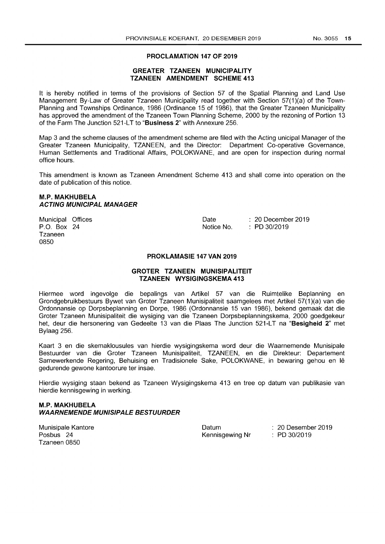#### PROCLAMATION 147 OF 2019

#### GREATER TZANEEN MUNICIPALITY TZANEEN AMENDMENT SCHEME 413

It is hereby notified in terms of the provisions of Section 57 of the Spatial Planning and Land Use Management By-Law of Greater Tzaneen Municipality read together with Section  $57(1)(a)$  of the Town-Planning and Townships Ordinance, 1986 (Ordinance 15 of 1986), that the Greater Tzaneen Municipality has approved the amendment of the Tzaneen Town Planning Scheme, 2000 by the rezoning of Portion 13 of the Farm The Junction 521-LT to "Business 2" with Annexure 256.

Map 3 and the scheme clauses of the amendment scheme are filed with the Acting unicipal Manager of the Greater Tzaneen Municipality, TZANEEN, and the Director: Department Co-operative Governance, Human Settlements and Traditional Affairs, POLOKWANE, and are open for inspection during normal office hours.

This amendment is known as Tzaneen Amendment Scheme 413 and shall come into operation on the date of publication of this notice.

### M.P. MAKHUBELA ACTING MUNICIPAL MANAGER

Municipal Offices P.O. Box 24 Tzaneen 0850

Date Notice No. 20 December 2019 PD 30/2019

#### PROKLAMASIE 147 VAN 2019

#### GROTER TZANEEN MUNISIPALITEIT TZANEEN WYSIGINGSKEMA 413

Hiermee word ingevolge die bepalings van Artikel 57 van die Ruimtelike Beplanning en Grondgebruikbestuurs Bywet van Groter Tzaneen Munisipaliteit saamgelees met Artikel 57(1 )(a) van die Ordonnansie op Dorpsbeplanning en Dorpe, 1986 (Ordonnansie 15 van 1986), bekend gemaak dat die Groter Tzaneen Munisipaliteit die wysiging van die Tzaneen Dorpsbeplanningskema, 2000 goedgekeur het, deur die hersonering van Gedeelte 13 van die Plaas The Junction 521-LT na "Besigheid 2" met Bylaag 256.

Kaart 3 en die skemaklousules van hierdie wysigingskema word deur die Waarnemende Munisipale Bestuurder van die Groter Tzaneen Munisipaliteit, TZANEEN, en die Direkteur: Departement Samewerkende Regering, Behuising en Tradisionele Sake, POLOKWANE, in bewaring gehou en Ie gedurende gewone kantoorure ter insae.

Hierdie wysiging staan bekend as Tzaneen Wysigingskema 413 en tree op datum van publikasie van hierdie kennisgewing in werking.

#### M.P. MAKHUBELA WAARNEMENDE MUNISIPALE BESTUURDER

Munisipale Kantore Posbus 24 Tzaneen 0850

Datum Kennisgewing Nr

20 Desember 2019 PD 30/2019